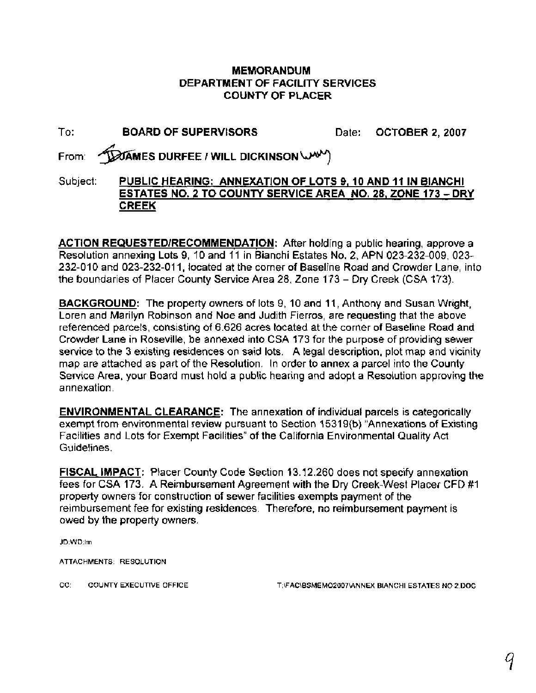## **MEMORANDUM DEPARTMENT OF FACILITY SERVICES COUNTY OF PLACER**

| To:      | <b>BOARD OF SUPERVISORS</b>                                                                                                               | Date: OCTOBER 2, 2007 |
|----------|-------------------------------------------------------------------------------------------------------------------------------------------|-----------------------|
|          | From: <b>DOAMES DURFEE / WILL DICKINSON</b>                                                                                               |                       |
| Subject: | PUBLIC HEARING: ANNEXATION OF LOTS 9, 10 AND 11 IN BIANCHI<br>ESTATES NO. 2 TO COUNTY SERVICE AREA NO. 28, ZONE 173 - DRY<br><b>CREEK</b> |                       |

**ACTION REQUESTEDIRECOMMENDATION:** After holding a public hearing, approve a Resolution annexing Lots 9, 10 and 11 in Bianchi Estates No. 2, APN 023-232-009, 023- 232-010 and 023-232-011, located at the corner of Baseline Road and Crowder Lane, into the boundaries of Placer County Service Area 28, Zone 173 - Dry Creek (CSA 173).

**BACKGROUND:** The property owners of lots 9, 10 and 11, Anthony and Susan Wright, Loren and Marilyn Robinson and Noe and Judith Fierros, are requesting that the above referenced parcels, consisting of 6.626 acres located at the corner of Baseline Road and Crowder Lane in Roseville, be annexed into CSA 173 for the purpose of providing sewer service to the 3 existing residences on said lots. A legal description, plot map and vicinity map are attached as part of the Resolution. In order to annex a parcel into the County Service Area, your Board must hold a public hearing and adopt a Resolution approving the annexation.

**ENVIRONMENTAL CLEARANCE:** The annexation of individual parcels is categorically exempt from environmental review pursuant to Section 15319(b) "Annexations of Existing Facilities and Lots for Exempt Facilities" of the California Environmental Quality Act Guidelines.

**FISCAL IMPACT:** Placer County Code Section 13.12.260 does not specify annexation fees for CSA 173. A Reimbursement Agreement with the Dry Creek-West Placer CFD #I property owners for construction of sewer facilities exempts payment of the reimbursement fee for existing residences. Therefore, no reimbursement payment is owed by the property owners.

JD:WD:Im

ATTACHMENTS: RESOLUTION

CC: COUNTY EXECUTIVE OFFICE T:\FAC\BSMEM02007\ANNEX BIANCHI ESTATES NO 2.DOC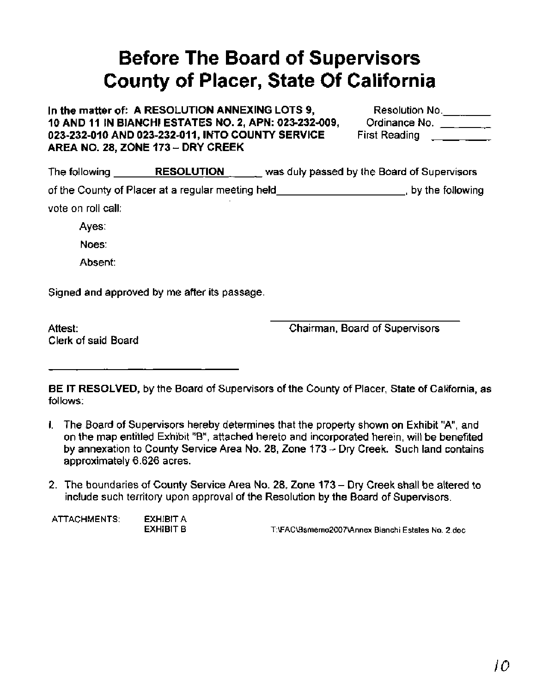## **Before The Board of Supervisors County of Placer, State Of California**

In the matter of: A RESOLUTION ANNEXING LOTS 9, **10 AND 11 IN BIANCHI ESTATES NO. 2, APN: 023-232-009,** 023-232-010 AND 023-232-011, INTO COUNTY SERVICE **AREA NO. 28, ZONE 173** - **DRY CREEK** 

| Resolution No. |  |
|----------------|--|
| Ordinance No.  |  |
| First Reading  |  |

| The following      | <b>RESOLUTION</b>                                 | was duly passed by the Board of Supervisors |                  |
|--------------------|---------------------------------------------------|---------------------------------------------|------------------|
|                    | of the County of Placer at a regular meeting held |                                             | by the following |
| vote on roll call: |                                                   |                                             |                  |
| Ayes:              |                                                   |                                             |                  |

Noes:

Absent:

Signed and approved by me after its passage.

Attest: Clerk of said Board Chairman, Board of Supervisors

**BE IT RESOLVED,** by the Board of Supervisors of the County of Placer, State of California, as follows:

- I. The Board of Supervisors hereby determines that the property shown on Exhibit "A", and on the map entitled Exhibit "B", attached hereto and incorporated herein, will be benefited by annexation to County Service Area No. 28, Zone 173 - Dry Creek. Such land contains approximately 6.626 acres.
- 2. The boundaries of County Service Area No. 28, Zone 173 Dry Creek shall be altered to include such territory upon approval of the Resolution by the Board of Supervisors.

ATTACHMENTS: EXHIBIT A<br>EXHIBIT B

EXHIBIT B **T:\FAC\Bsmerno2007\Annex** Bianchi **Estates** No. 2.doc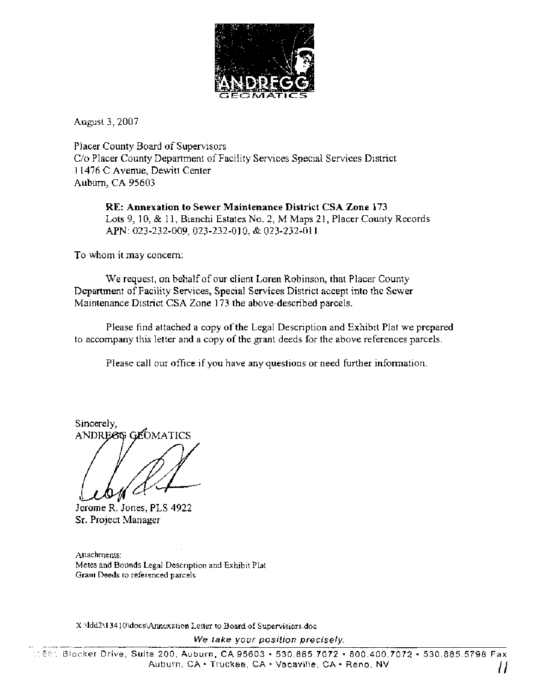

August 3,2007

Placer County Board of Supervisors C/o Placer County Department of Facility Services Special Services District 11476 C Avenue, Dewitt Center Auburn, CA 95603

**RE: Annexation to Sewer Maintenance District CSA Zone 173**  Lots 9, 10, & 11, Bianchi Estates No. 2, M Maps 21, Placer County Records APN: 023-232-009,023-232-010, & 023-232-01 1

To whom it may concern:

We request, on behalf of our client Loren Robinson, that Placer County Department of Facility Services, Special Services District accept into the Sewer Maintenance District CSA Zone 173 the above-described parcels.

Please find attached a copy of the Legal Description and Exhibit Plat we prepared to accompany this letter and a copy of the grant deeds for the above references parcels.

Please call our office if you have any questions or need further information.

Sincerely, ANDREGG GLOMATICS

Jerome R. Jones, PLS 4922 Sr. Project Manager

Attachments: Metes and Bounds Legal Description and Exhibit Plat Grant Deeds to referenced parcels

X:\ldd2\13410\docs\Annexation Letter to Board of Supervisiors.doc

We take your position precisely.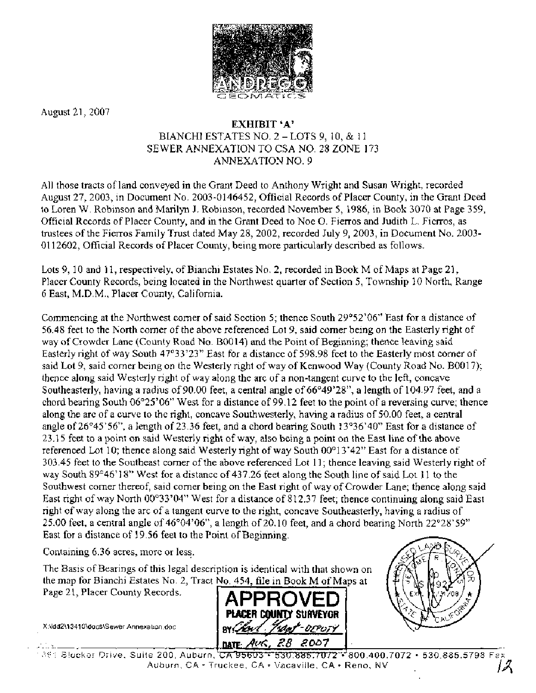

August 21,2007

## **EXHIBIT 'A'**  BIANCHI ESTATES NO. 2 - LOTS 9, 10, & 11 SEWER ANNEXATION TO CSA NO. 28 ZONE 173 ANNEXATION NO. 9

All those tracts of land conveyed in the Grant Deed to Anthony Wright and Susan Wright, recorded August 27,2003, in Document No. 2003-0146452, Official Records of Placer County, in the Grant Deed to Loren W. Robinson and Marilyn J. Robinson, recorded November 5,1986, in Book 3070 at Page 359, Official Records of Placer County, and in the Grant Deed to Noe 0. Fierros and Judith L. Fierros, as trustees of the Fierros Family Trust dated May 28,2002, recorded July 9,2003, in Document No. 2003- 01 12602, Official Records of Placer County, being more particularly described as follows.

Lots 9,10 and 11, respectively, of Bianchi Estates No. 2, recorded in Book M of Maps at Page 21, Placer County Records, being located in the Northwest quarter of Section 5, Township 10 North, Range 6 East, M.D.M., Placer County, California.

Commencing at the Northwest corner of said Section 5; thence South 29'52'06" East for a distance of 56.48 feet to the North comer of the above referenced Lot 9, said comer being on the Easterly right of way of Crowder Lane (County Road No. B0014) and the Point of Beginning; thence leaving said Easterly right of way South 47°33'23" East for a distance of 598.98 feet to the Easterly most corner of said Lot 9, said corner being on the Westerly right of way of Kenwood Way (County Road No. B0017); thence along said Westerly right of way along the arc of a non-tangent curve to the left, concave Southeasterly, having a radius of 90.00 feet, a central angle of 66°49'28", a length of 104.97 feet, and a chord bearing South 06'25'06" West for a distance of 99.12 feet to the point of a reversing curve; thence along the arc of a curve to the right, concave Southwesterly, having a radius of 50.00 feet, a central angle of 26°45'56", a length of 23.36 feet, and a chord bearing South 13°36'40" East for a distance of 23.1 5 feet to a point on said Westerly right of way, also being a point on the East line of the above referenced Lot 10; thence along said Westerly right of way South 00°13'42" East for a distance of 303.45 feet to the Southeast comer of the above referenced Lot 1 1 ; thence leaving said Westerly right of way South 89°46'18" West for a distance of 437.26 feet along the South line of said Lot 11 to the Southwest comer thereof, said corner being on the East right of way of Crowder Lane; thence along said East right of way North 00°33'04" West for a distance of 812.37 feet; thence continuing along said East right of way along the arc of a tangent curve to the right, concave Southeasterly, having a radius of 25.00 feet, a central angle of  $46^{\circ}04'06''$ , a length of 20.10 feet, and a chord bearing North  $22^{\circ}28'59''$ East for a distance of 19.56 feet to the Point of Beginning.

Containing 6.36 acres, more or less.

X:\ldd2\1341 O\docs\Sewer Annexation.doc

The Basis of Bearings of this legal description is identical with that shown the map for Bianchi Estates No. 2, Tract No. 454, file in Book M of Maps Page 21, Placer County Records.





, \_ \_\_- ! **am/t&, 28 ma7** I **-** ;lC Giocker Cllige, Su~te 200, Aub~irn, TXTTX73 **3;~UXRE7W2'=~800.400.7072** 530 885.5798 Fax Auburn, CA · Truckee, CA · Vacaville, CA · Reno, NV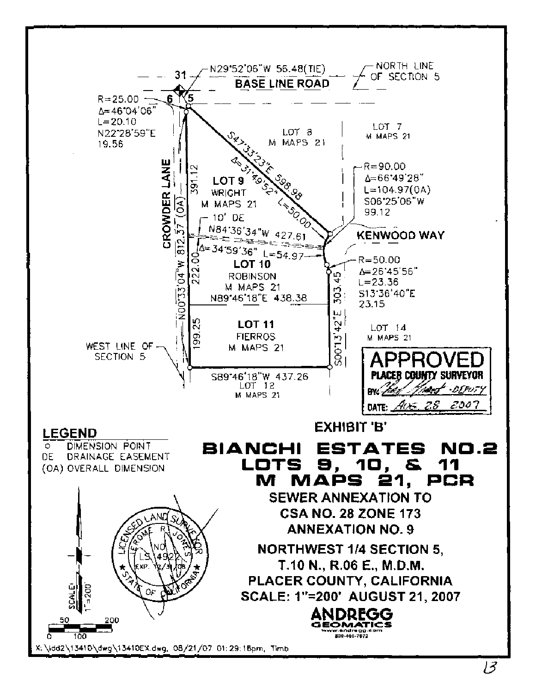